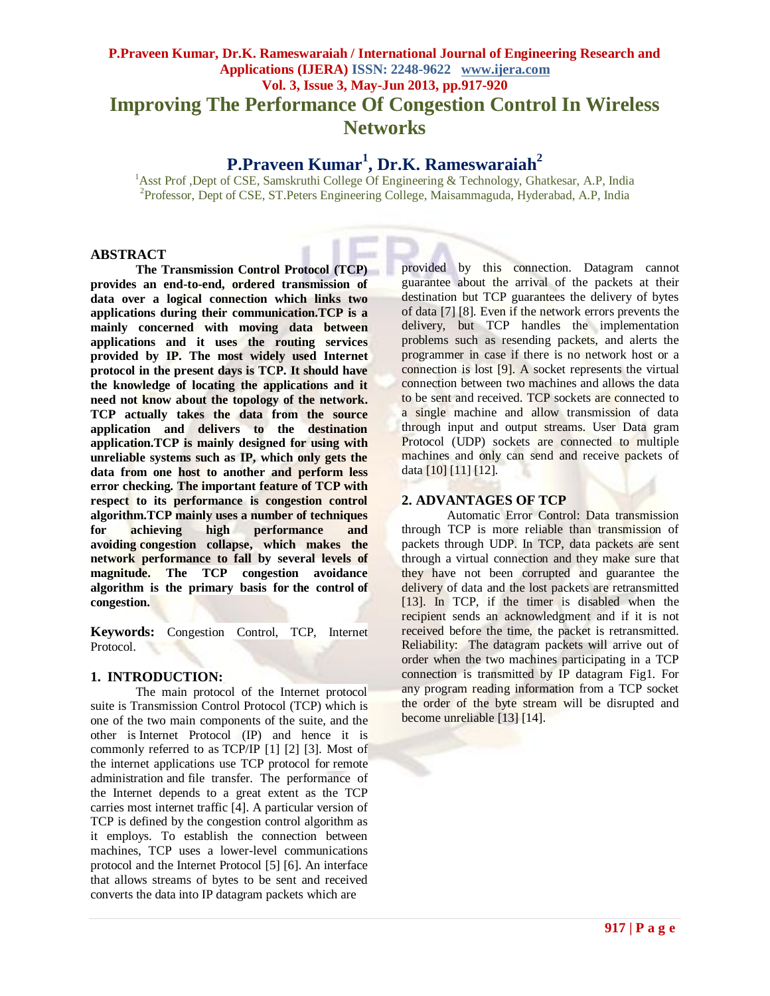## **P.Praveen Kumar, Dr.K. Rameswaraiah / International Journal of Engineering Research and Applications (IJERA) ISSN: 2248-9622 www.ijera.com Vol. 3, Issue 3, May-Jun 2013, pp.917-920 Improving The Performance Of Congestion Control In Wireless Networks**

# **P.Praveen Kumar<sup>1</sup> , Dr.K. Rameswaraiah<sup>2</sup>**

<sup>1</sup>Asst Prof ,Dept of CSE, Samskruthi College Of Engineering & Technology, Ghatkesar, A.P, India 2 Professor, Dept of CSE, ST.Peters Engineering College, Maisammaguda, Hyderabad, A.P, India

#### **ABSTRACT**

**The Transmission Control Protocol (TCP) provides an end-to-end, ordered transmission of data over a logical connection which links two applications during their communication.TCP is a mainly concerned with moving data between applications and it uses the routing services provided by IP. The most widely used Internet protocol in the present days is TCP. It should have the knowledge of locating the applications and it need not know about the topology of the network. TCP actually takes the data from the source application and delivers to the destination application.TCP is mainly designed for using with unreliable systems such as IP, which only gets the data from one host to another and perform less error checking. The important feature of TCP with respect to its performance is congestion control algorithm.TCP mainly uses a number of techniques for achieving high performance and avoiding [congestion collapse,](http://en.wikipedia.org/wiki/Congestive_collapse) which makes the network performance to fall by several levels of magnitude. The TCP congestion avoidance algorithm is the primary basis for [the control](http://en.wikipedia.org/wiki/Congestion_control) of congestion.**

**Keywords:** Congestion Control, TCP, Internet Protocol.

#### **1. INTRODUCTION:**

The main protocol of the Internet protocol [suite](http://en.wikipedia.org/wiki/Internet_protocol_suite) is Transmission Control Protocol (TCP) which is one of the two main components of the suite, and the other is [Internet Protocol](http://en.wikipedia.org/wiki/Internet_Protocol) (IP) and hence it is commonly referred to as TCP/IP [1] [2] [3]. Most of the internet applications use TCP protocol for [remote](http://en.wikipedia.org/wiki/Remote_administration)  [administration](http://en.wikipedia.org/wiki/Remote_administration) and file transfer. The performance of the Internet depends to a great extent as the TCP carries most internet traffic [4]. A particular version of TCP is defined by the congestion control algorithm as it employs. To establish the connection between machines, TCP uses a lower-level communications protocol and the Internet Protocol [5] [6]. An interface that allows streams of bytes to be sent and received converts the data into IP datagram packets which are

provided by this connection. Datagram cannot guarantee about the arrival of the packets at their destination but TCP guarantees the delivery of bytes of data [7] [8]. Even if the network errors prevents the delivery, but TCP handles the implementation problems such as resending packets, and alerts the programmer in case if there is no network host or a connection is lost [9]. A socket represents the virtual connection between two machines and allows the data to be sent and received. TCP sockets are connected to a single machine and allow transmission of data through input and output streams. User Data gram Protocol (UDP) sockets are connected to multiple machines and only can send and receive packets of data [10] [11] [12].

## **2. ADVANTAGES OF TCP**

Automatic Error Control: Data transmission through TCP is more reliable than transmission of packets through UDP. In TCP, data packets are sent through a virtual connection and they make sure that they have not been corrupted and guarantee the delivery of data and the lost packets are retransmitted [13]. In TCP, if the timer is disabled when the recipient sends an acknowledgment and if it is not received before the time, the packet is retransmitted. Reliability: The datagram packets will arrive out of order when the two machines participating in a TCP connection is transmitted by IP datagram Fig1. For any program reading information from a TCP socket the order of the byte stream will be disrupted and become unreliable [13] [14].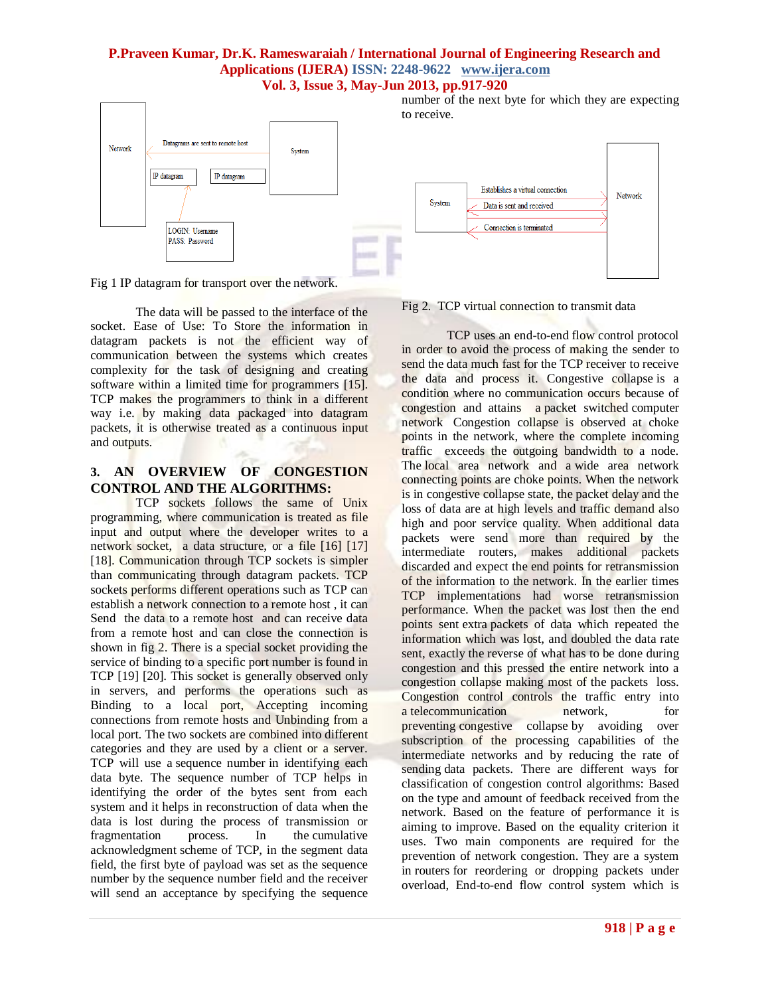## **P.Praveen Kumar, Dr.K. Rameswaraiah / International Journal of Engineering Research and Applications (IJERA) ISSN: 2248-9622 www.ijera.com Vol. 3, Issue 3, May-Jun 2013, pp.917-920**



Fig 1 IP datagram for transport over the network.

The data will be passed to the interface of the socket. Ease of Use: To Store the information in datagram packets is not the efficient way of communication between the systems which creates complexity for the task of designing and creating software within a limited time for programmers [15]. TCP makes the programmers to think in a different way i.e. by making data packaged into datagram packets, it is otherwise treated as a continuous input and outputs.

## **3. AN OVERVIEW OF CONGESTION CONTROL AND THE ALGORITHMS:**

TCP sockets follows the same of Unix programming, where communication is treated as file input and output where the developer writes to a network socket, a data structure, or a file [16] [17] [18]. Communication through TCP sockets is simpler than communicating through datagram packets. TCP sockets performs different operations such as TCP can establish a network connection to a remote host , it can Send the data to a remote host and can receive data from a remote host and can close the connection is shown in fig 2. There is a special socket providing the service of binding to a specific port number is found in TCP [19] [20]. This socket is generally observed only in servers, and performs the operations such as Binding to a local port, Accepting incoming connections from remote hosts and Unbinding from a local port. The two sockets are combined into different categories and they are used by a client or a server. TCP will use a sequence number in identifying each data byte. The sequence number of TCP helps in identifying the order of the bytes sent from each system and it helps in reconstruction of data when the data is lost during the process of transmission or fragmentation process. In the cumulative acknowledgment scheme of TCP, in the segment data field, the first byte of payload was set as the sequence number by the sequence number field and the receiver will send an acceptance by specifying the sequence

Fig 2. TCP virtual connection to transmit data

TCP uses an end-to-end [flow control](http://en.wikipedia.org/wiki/Flow_control_(data)) protocol in order to avoid the process of making the sender to send the data much fast for the TCP receiver to receive the data and process it. Congestive collapse is a condition where no communication occurs because of congestion and attains a [packet switched](http://en.wikipedia.org/wiki/Packet_switched) [computer](http://en.wikipedia.org/wiki/Computer_network)  [network](http://en.wikipedia.org/wiki/Computer_network) Congestion collapse is observed at choke points in the network, where the complete incoming traffic exceeds the outgoing bandwidth to a node. The [local area network](http://en.wikipedia.org/wiki/Local_area_network) and a [wide area network](http://en.wikipedia.org/wiki/Wide_area_network) connecting points are choke points. When the network is in congestive collapse state, the packet delay and the loss of data are at high levels and traffic demand also high and poor service quality. When additional data packets were send more than required by the intermediate routers, makes additional packets discarded and expect the end points for retransmission of the information to the network. In the earlier times TCP implementations had worse retransmission performance. When the packet was lost then the end points sent extra packets of data which repeated the information which was lost, and doubled the data rate sent, exactly the reverse of what has to be done during congestion and this pressed the entire network into a congestion collapse making most of the packets loss. Congestion control controls the traffic entry into a telecommunication **network**, for preventing [congestive collapse](http://en.wikipedia.org/wiki/Congestive_collapse) by avoiding over subscription of the processing capabilities of the intermediate networks and by reducing the rate of sending data packets. There are different ways for classification of congestion control algorithms: Based on the type and amount of feedback received from the network. Based on the feature of performance it is aiming to improve. Based on the equality criterion it uses. Two main components are required for the prevention of network congestion. They are a system in [routers](http://en.wikipedia.org/wiki/Router_(computing)) for reordering or dropping packets under overload, End-to-end flow control system which is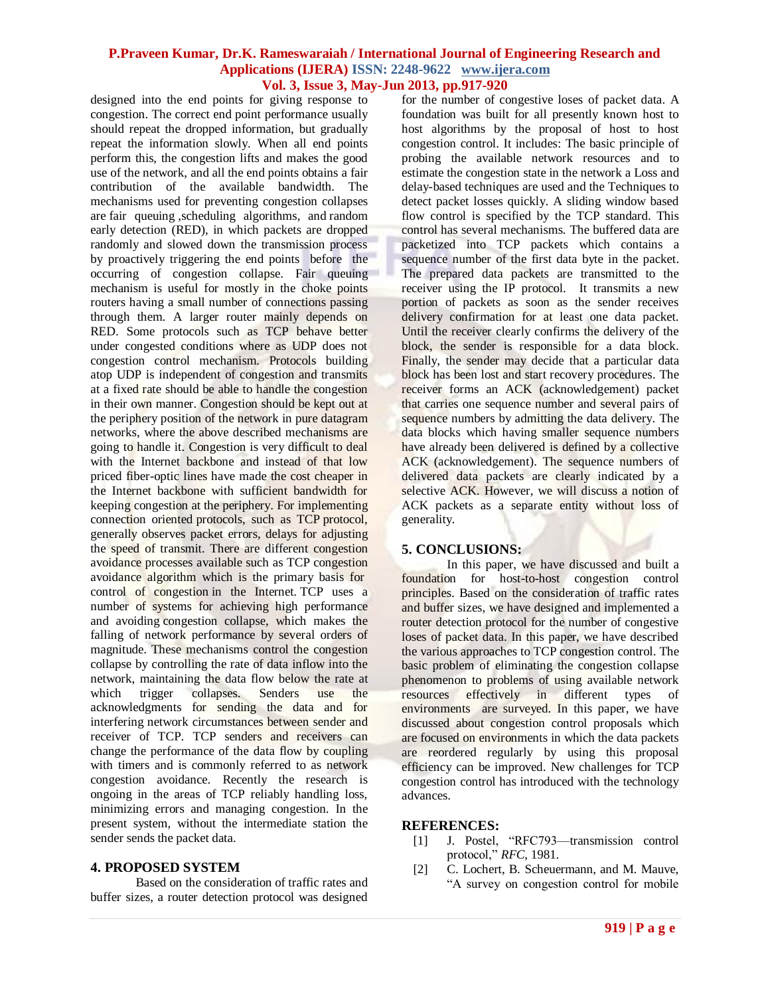#### **P.Praveen Kumar, Dr.K. Rameswaraiah / International Journal of Engineering Research and Applications (IJERA) ISSN: 2248-9622 www.ijera.com Vol. 3, Issue 3, May-Jun 2013, pp.917-920**

designed into the end points for giving response to congestion. The correct end point performance usually should repeat the dropped information, but gradually repeat the information slowly. When all end points perform this, the congestion lifts and makes the good use of the network, and all the end points obtains a fair contribution of the available bandwidth. The mechanisms used for preventing congestion collapses are fair [queuing](http://en.wikipedia.org/wiki/Fair_queueing) [,scheduling algorithms,](http://en.wikipedia.org/wiki/Scheduling_algorithms) and [random](http://en.wikipedia.org/wiki/Random_early_detection)  [early detection](http://en.wikipedia.org/wiki/Random_early_detection) (RED), in which packets are dropped randomly and slowed down the transmission process by proactively triggering the end points before the occurring of congestion collapse. Fair queuing mechanism is useful for mostly in the choke points routers having a small number of connections passing through them. A larger router mainly depends on RED. Some protocols such as TCP behave better under congested conditions where as UDP does not congestion control mechanism. Protocols building atop UDP is independent of congestion and transmits at a fixed rate should be able to handle the congestion in their own manner. Congestion should be kept out at the periphery position of the network in pure datagram networks, where the above described mechanisms are going to handle it. Congestion is very difficult to deal with the Internet backbone and instead of that low priced fiber-optic lines have made the cost cheaper in the Internet backbone with sufficient bandwidth for keeping congestion at the periphery. For implementing connection oriented [protocols,](http://en.wikipedia.org/wiki/Communications_protocol) such as [TCP](http://en.wikipedia.org/wiki/Transmission_control_protocol) protocol, generally observes packet errors, delays for adjusting the speed of transmit. There are different congestion avoidance processes available such as TCP congestion avoidance algorithm which is the primary basis for [control](http://en.wikipedia.org/wiki/Congestion_control) of congestion in the Internet. TCP uses a number of systems for achieving high performance and avoiding [congestion collapse,](http://en.wikipedia.org/wiki/Congestive_collapse) which makes the falling of network performance by several orders of magnitude. These mechanisms control the congestion collapse by controlling the rate of data inflow into the network, maintaining the data flow below the rate at which trigger collapses. Senders use the acknowledgments for sending the data and for interfering network circumstances between sender and receiver of TCP. TCP senders and receivers can change the performance of the data flow by coupling with timers and is commonly referred to as network congestion avoidance. Recently the research is ongoing in the areas of TCP reliably handling loss, minimizing errors and managing congestion. In the present system, without the intermediate station the sender sends the packet data.

#### **4. PROPOSED SYSTEM**

Based on the consideration of traffic rates and buffer sizes, a router detection protocol was designed for the number of congestive loses of packet data. A foundation was built for all presently known host to host algorithms by the proposal of host to host congestion control. It includes: The basic principle of probing the available network resources and to estimate the congestion state in the network a Loss and delay-based techniques are used and the Techniques to detect packet losses quickly. A sliding window based flow control is specified by the TCP standard. This control has several mechanisms. The buffered data are packetized into TCP packets which contains a sequence number of the first data byte in the packet. The prepared data packets are transmitted to the receiver using the IP protocol. It transmits a new portion of packets as soon as the sender receives delivery confirmation for at least one data packet. Until the receiver clearly confirms the delivery of the block, the sender is responsible for a data block. Finally, the sender may decide that a particular data block has been lost and start recovery procedures. The receiver forms an ACK (acknowledgement) packet that carries one sequence number and several pairs of sequence numbers by admitting the data delivery. The data blocks which having smaller sequence numbers have already been delivered is defined by a collective ACK (acknowledgement). The sequence numbers of delivered data packets are clearly indicated by a selective ACK. However, we will discuss a notion of ACK packets as a separate entity without loss of generality.

#### **5. CONCLUSIONS:**

In this paper, we have discussed and built a foundation for host-to-host congestion control principles. Based on the consideration of traffic rates and buffer sizes, we have designed and implemented a router detection protocol for the number of congestive loses of packet data. In this paper, we have described the various approaches to TCP congestion control. The basic problem of eliminating the congestion collapse phenomenon to problems of using available network resources effectively in different types of environments are surveyed. In this paper, we have discussed about congestion control proposals which are focused on environments in which the data packets are reordered regularly by using this proposal efficiency can be improved. New challenges for TCP congestion control has introduced with the technology advances.

#### **REFERENCES:**

- [1] J. Postel, "RFC793—transmission control protocol," *RFC*, 1981.
- [2] C. Lochert, B. Scheuermann, and M. Mauve, ―A survey on congestion control for mobile